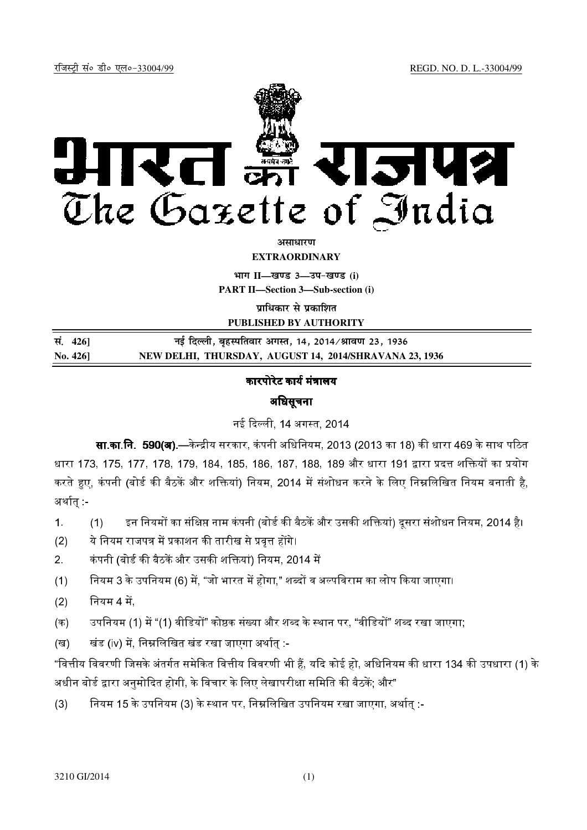

*असाधारण* **EXTRAORDINARY**

**Hkkx II—[k.M 3—mi&[k.M (i)**

**PART II—Section 3—Sub-section (i)**

**प्राधिकार से प्रकाशित** 

**PUBLISHED BY AUTHORITY**

**la- 426] ubZ fnYyh] c`gLifrokj vxLr] 14] 2014@Jko.k 23] 1936 No. 426] NEW DELHI, THURSDAY, AUGUST 14, 2014/SHRAVANA 23, 1936**

#### कारपोरेट कार्य मंत्रालय

### अधिसूचना

नई दिल्ली, 14 अगस्त, 2014

**सा.का.नि. 590(अ),—**केन्द्रीय सरकार, कंपनी अधिनियम, 2013 (2013 का 18) की धारा 469 के साथ पठित धारा 173, 175, 177, 178, 179, 184, 185, 186, 187, 188, 189 और धारा 191 द्वारा प्रदत्त शक्तियों का प्रयोग करते हुए, कंपनी (बोर्ड की बैठकें और शक्तियां) नियम, 2014 में संशोधन करने के लिए निम्नलिखित नियम बनाती है. अर्थात् -

- 1. (1) इन नियमों का संक्षिप्त नाम कंपनी (बोर्ड की बैठकें और उसकी शक्तियां) दूसरा संशोधन नियम, 2014 है।
- (2) ये नियम राजपत्र में प्रकाशन की तारीख से प्रवत्त होंगे।
- 2. कंपनी (बोर्ड की बैठकें और उसकी शक्तियां) नियम, 2014 में
- (1) नियम 3 के उपनियम (6) में. "जो भारत में होगा." शब्दों व अल्पविराम का लोप किया जाएगा।
- $(2)$  नियम 4 में,
- (क) उपनियम (1) में "(1) वीडियों" कोष्ठक संख्या और शब्द के स्थान पर, "वीडियों" शब्द रखा जाएगा.
- (ख) खंड (iv) में निम्नलिखित खंड रखा जाएगा अर्थात :-

"वित्तीय विवरणी जिसके अंतर्गत समेकित वित्तीय विवरणी भी हैं. यदि कोई हो. अधिनियम की धारा 134 की उपधारा (1) के अधीन बोर्ड द्वारा अनमोदित होगी. के विचार के लिए लेखापरीक्षा समिति की बैठकें: और"

(3) नियम 15 के उपनियम (3) के स्थान पर, निम्नलिखित उपनियम रखा जाएगा, अर्थात :-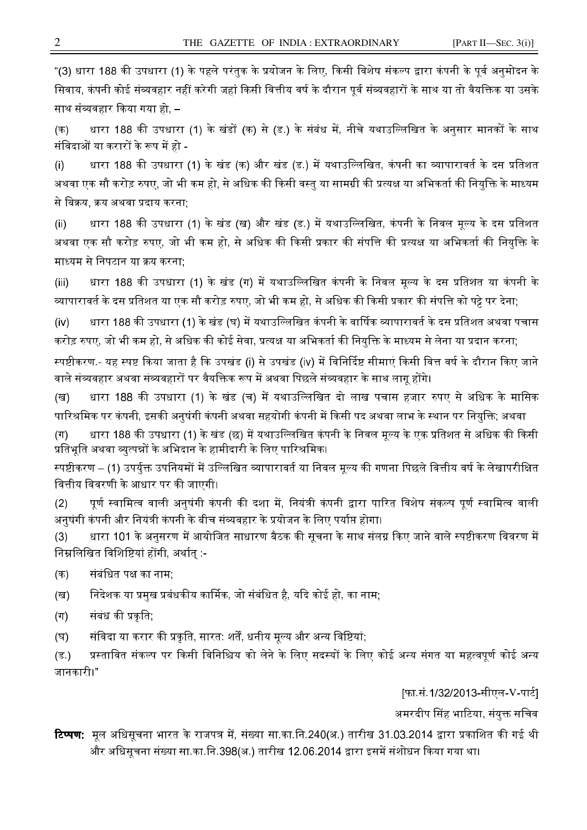"(3) धारा 188 की उपधारा (1) के पहले परंतुक के प्रयोजन के लिए, किसी विशेष संकल्प द्वारा कंपनी के पूर्व अनुमोदन के सिवाय, कंपनी कोई संव्यवहार नहीं करेगी जहां किसी वित्तीय वर्ष के दौरान पर्व संव्यवहारों के साथ या तो वैयक्तिक या उसके साथ संव्यवहार किया गया हो. –

(क) धारा 188 की उपधारा (1) के खंडों (क) से (ड ) के संबंध में, नीचे यथाउल्लिखित के अनुसार मानकों के साथ संविदाओं या करारों के रूप में हो -

(i) धारा 188 की उपधारा (1) के खंड (क) और खंड (ड.) में यथाउल्लिखित, कंपनी का व्यापारावर्त के दस प्रतिशत अथवा एक सौ करोड़ रुपए, जो भी कम हो, से अधिक की किसी वस्तु या सामग्री की प्रत्यक्ष या अभिकर्ता की नियुक्ति के माध्यम से बिक्रय, क्रय अथवा प्रदाय करना:

(ii) धारा 188 की उपधारा (1) के खंड (ख) और खंड (ड.) में यथाउल्लिखित, कंपनी के निवल मूल्य के दस प्रतिशत अथवा एक सौ करोड़ रुपए, जो भी कम हो, से अधिक की किसी प्रकार की संपत्ति की प्रत्यक्ष या अभिकर्ता की नियुक्ति के माध्यम से निपटान या क्रय करना;

(iii) धारा 188 की उपधारा (1) के खंड (ग) में यथाउल्लिखित कंपनी के निवल मूल्य के दस प्रतिशत या कंपनी के व्यापारावर्त के दस प्रतिशत या एक सौ करोड़ रुपए, जो भी कम हो, से अधिक की किसी प्रकार की संपत्ति को पट्टे पर देना:

(iv) धारा 188 की उपधारा (1) के खंड (घ) में यथाउल्लिखित कंपनी के वार्षिक व्यापारावर्त के दस प्रतिशत अथवा पचास करोड़ रुपए, जो भी कम हो, से अधिक की कोई सेवा, प्रत्यक्ष या अभिकर्ता की नियक्ति के माध्यम से लेना या प्रदान करना

स्पष्टीकरण - यह स्पष्ट किया जाता है कि उपखंड (i) से उपखंड (iv) में विनिर्दिष्ट सीमाएं किसी वित्त वर्ष के दौरान किए जाने वाले संव्यवहार अथवा संव्यवहारों पर वैयक्तिक रूप में अथवा पिछले संव्यवहार के साथ लाग होंगे।

(ख) धारा 188 की उपधारा (1) के खंड (च) में यथाउल्लिखित दो लाख पचास हजार रुपए से अधिक के मासिक पारिश्रमिक पर कंपनी. इसकी अनषंगी कंपनी अथवा सहयोगी कंपनी में किसी पद अथवा लाभ के स्थान पर नियक्ति: अथवा

(ग) धारा 188 की उपधारा (1) के खंड (छ) में यथाउल्लिखित कंपनी के निवल मूल्य के एक प्रतिशत से अधिक की किसी प्रतिभति अथवा व्यत्पन्नों के अभिदान के हामीदारी के लिए पारिश्रमिक।

स्पष्टीकरण – (1) उपर्यक्त उपनियमों में उल्लिखित व्यापारावर्त या निवल मल्य की गणना पिछले वित्तीय वर्ष के लेखापरीक्षित वित्तीय विवरणी के आधार पर की जाएगी।

(2) पर्ण स्वामित्व वाली अनषंगी कंपनी की दशा में. नियंत्री कंपनी द्वारा पारित विशेष संकल्प पर्ण स्वामित्व वाली अनषंगी कंपनी और नियंत्री कंपनी के बीच संव्यवहार के प्रयोजन के लिए पर्याप्त होगा।

(3) धारा 101 के अनुसरण में आयोजित साधारण बैठक की सूचना के साथ संलग्न किए जाने वाले स्पष्टीकरण विवरण में निम्नलिखित विशिष्टियां होंगी. अर्थात :-

(क) संबंधित पक्ष का नाम<u>;</u>

(ख) निदेशक या प्रमख प्रबंधकीय कार्मिक, जो संबंधित है, यदि कोई हो, का नाम:

(ग) संबंध की प्रकृति;

(घ) — संविदा या करार की प्रकृति, सारत: शर्तें, धनीय मृल्य और अन्य विष्टियां;

(ड.) प्रस्तावित संकल्प पर किसी विनिश्चिय को लेने के लिए सदस्यों के लिए कोई अन्य संगत या महत्वपर्ण कोई अन्य जानकारी।"

[फा.सं.1/32/2013-सीएल-V-पार्ट]

अमरदीप सिंह भाटिया, संयुक्त सचिव

## **टिप्पण**: मल अधिसचना भारत के राजपत्र में. संख्या सा.का.नि.240(अ.) तारीख 31.03.2014 द्वारा प्रकाशित की गई थी और अधिसचना संख्या सा.का.नि.398(अ.) तारीख 12.06.2014 द्वारा इसमें संशोधन किया गया था।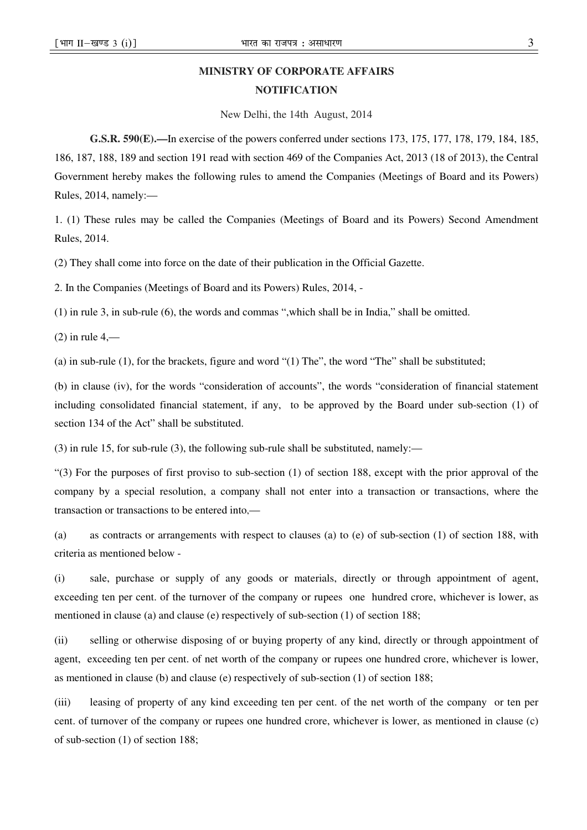# **MINISTRY OF CORPORATE AFFAIRS NOTIFICATION**

New Delhi, the 14th August, 2014

**G.S.R. 590(E).—**In exercise of the powers conferred under sections 173, 175, 177, 178, 179, 184, 185, 186, 187, 188, 189 and section 191 read with section 469 of the Companies Act, 2013 (18 of 2013), the Central Government hereby makes the following rules to amend the Companies (Meetings of Board and its Powers) Rules, 2014, namely:—

1. (1) These rules may be called the Companies (Meetings of Board and its Powers) Second Amendment Rules, 2014.

(2) They shall come into force on the date of their publication in the Official Gazette.

2. In the Companies (Meetings of Board and its Powers) Rules, 2014, -

(1) in rule 3, in sub-rule (6), the words and commas ",which shall be in India," shall be omitted.

 $(2)$  in rule 4,—

(a) in sub-rule (1), for the brackets, figure and word "(1) The", the word "The" shall be substituted;

(b) in clause (iv), for the words "consideration of accounts", the words "consideration of financial statement including consolidated financial statement, if any, to be approved by the Board under sub-section (1) of section 134 of the Act" shall be substituted.

(3) in rule 15, for sub-rule (3), the following sub-rule shall be substituted, namely:—

"(3) For the purposes of first proviso to sub-section (1) of section 188, except with the prior approval of the company by a special resolution, a company shall not enter into a transaction or transactions, where the transaction or transactions to be entered into,—

(a) as contracts or arrangements with respect to clauses (a) to (e) of sub-section (1) of section 188, with criteria as mentioned below -

(i) sale, purchase or supply of any goods or materials, directly or through appointment of agent, exceeding ten per cent. of the turnover of the company or rupees one hundred crore, whichever is lower, as mentioned in clause (a) and clause (e) respectively of sub-section (1) of section 188;

(ii) selling or otherwise disposing of or buying property of any kind, directly or through appointment of agent, exceeding ten per cent. of net worth of the company or rupees one hundred crore, whichever is lower, as mentioned in clause (b) and clause (e) respectively of sub-section (1) of section 188;

(iii) leasing of property of any kind exceeding ten per cent. of the net worth of the company or ten per cent. of turnover of the company or rupees one hundred crore, whichever is lower, as mentioned in clause (c) of sub-section (1) of section 188;